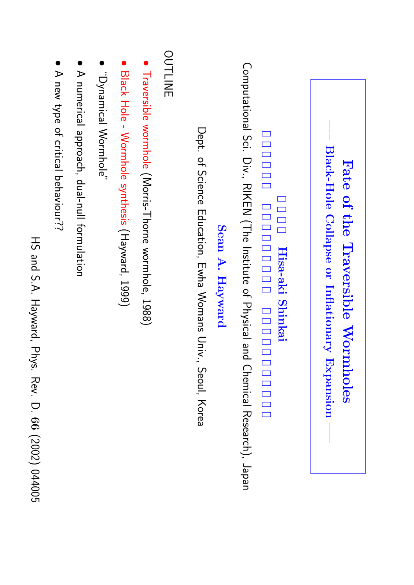**Fate of theTraversibleWormholes Black-Hole Collapse or InflationaryExpansion —–**

**Hisa-aki Shinkai**

Computational Sci.Div., RIKEN (The Institute of Physical and Chemical Research), Japan

**Sean A. Hayward**

Dept.of Science Education, Ewha Womans Univ., Seoul, Korea

OUTLINE OUTLINE

- Traversiblewormhole (Morris-Thornewormhole, 1988)
- Black Hole - Wormhole synthesis (Hayward, 1999)
- "Dynamical Wormhole"
- $\blacktriangleright$ numerical approach, dual-null formulation
- $\blacktriangleright$ new type of critical behaviour??

HS and S.A. Hayward, Phys. Rev. D. **66** (2002) 044005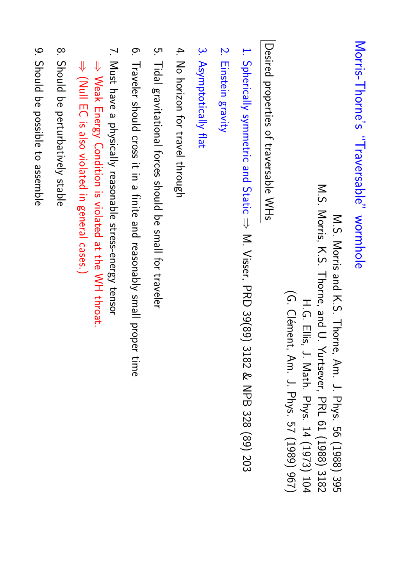# Morris-Thorne's"Traversable" wormhole

M.S. Morris and K.S. Thorne, Am. J. Phys. 56 (1988) 395 M.S. Morris, K.S. Thorne, and U. Yurtsever, PRL 61 (1988) 3182 H.G. Ellis, J. Math. Phys. 14 (1973) 104 (G. Clément, Am. J. Phys.57 (1989) 967)

Desired properties of traversable**SH**S

- 1. Spherically symmetric and Static ⇒ M. Visser, PRD 39(89) 3182 & NPB 328 (89) 203
- 2. Einstein gravity
- .<br>.<br>. Asymptoticallyflat
- 4. No horizon for travel through
- 5. Tidal gravitationalforces should be small for traveler
- 6. Traveler should cross it in a finite and reasonably small proper time
- 7. Must have a physically reasonablestress-energy tensor ⇒ Weak Energy Conditionis violated at the WH throat.
- ⇒ (Null EC is also violated in general cases.)
- 8. Should be perturbativelystable
- 9. Should be possible to assemble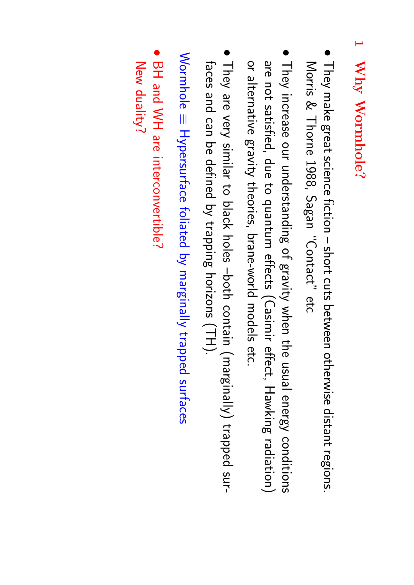### **1 WhyWormhole?**

- Morris & Thorne 1988, Sagan"Contact"etc<br>O They make great science fiction – short cuts between otherwisedistant regions.
- م<br>7 They increase our understanding of gravity when the usual energy conditions ወ not satisfied, due to quantum effects (Casimir effect, Hawking radiation) or alternative gravity theories,brane-worldmodels etc.
- faces andCan be definedby trapping horizons (TH). They are very similar to black holes –both contain (marginally) trappedsur-

Wormhole ≡ Hypersurface foliated by marginally trappedsurfaces

 $\bullet$ New duality? DD<br>工 and $\lesssim$ are interconvertible?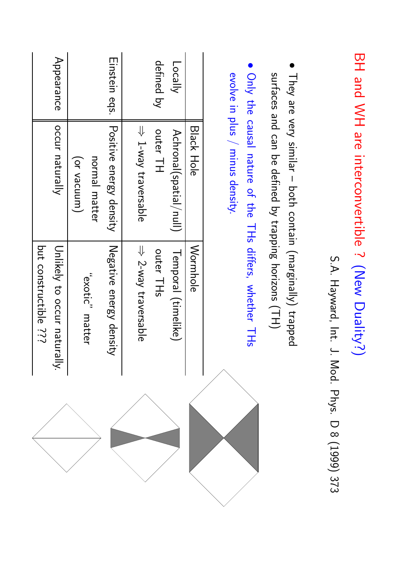|                           | but constructible ???                    |                                                           |               |
|---------------------------|------------------------------------------|-----------------------------------------------------------|---------------|
|                           | Unlikely to occur natura<br>$\dot{\leq}$ | occur naturally                                           | Appearance    |
|                           | "exotic" matter                          | (or vacuum)<br>normal matter                              |               |
|                           | Negative energy density                  | Positive energy density                                   | Einstein eqs. |
|                           | $\Rightarrow$ 2-way traversable          | ⇒ 1-way traversable                                       |               |
|                           | outer THs                                | outer<br>TH                                               | defined by    |
|                           | Temporal (timelike)                      | Achronal (spatial/null)                                   | Locally       |
|                           | Wormhole                                 | Black Hole                                                |               |
|                           |                                          | evolve in plus / minus density.                           |               |
|                           | THs differs, whether THs                 | Only the causal nature of the                             |               |
|                           |                                          | surfaces and can be defined by trapping horizons (TH)     |               |
|                           |                                          | They are very similar – both contain (marginally) trapped |               |
|                           |                                          |                                                           |               |
| Mod. Phys. D 8 (1999) 373 | S.A. Hayward, Int. J.                    |                                                           |               |
|                           |                                          | BH and VH are interconvertible ? (New Duality?)           |               |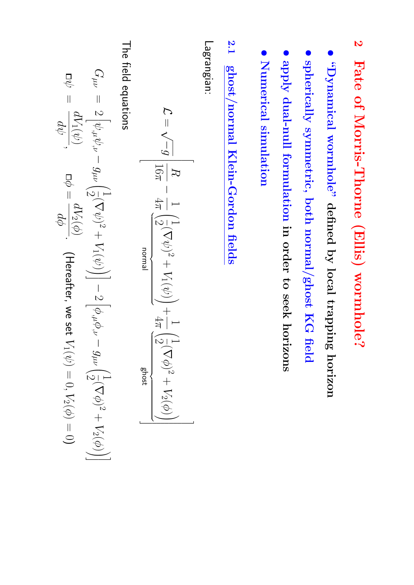## **2 Fate of Morris-Thorne (Ellis)wormhole?**

- *•* **"Dynamicalwormhole" defined by local trapping horizon**
- *•* **sphericallysymmetric, both normal/ghost KG field**
- *•* **apply dual-nullformulation in order to seek horizons**
- *•* **Numericalsimulation**
- **2.1 ghost/normalKlein-Gordon fields**

Lagrangian:

$$
\mathcal{L} = \sqrt{-g} \left[ \frac{R}{16\pi} - \frac{1}{4\pi} \left( \frac{1}{2} (\nabla \psi)^2 + V_1(\psi) \right) + \frac{1}{4\pi} \left( \frac{1}{2} (\nabla \phi)^2 + V_2(\phi) \right) \right]
$$
\n
$$
\text{chost}
$$
\n
$$
\text{cpost}
$$

The field equations

$$
G_{\mu\nu} = 2\left[\psi_{,\mu}\psi_{,\nu} - g_{\mu\nu}\left(\frac{1}{2}(\nabla\psi)^2 + V_1(\psi)\right)\right] - 2\left[\phi_{,\mu}\phi_{,\nu} - g_{\mu\nu}\left(\frac{1}{2}(\nabla\phi)^2 + V_2(\phi)\right)\right]
$$

$$
\Box\psi = \frac{dV_1(\psi)}{d\psi}, \qquad \Box\phi = \frac{dV_2(\phi)}{d\phi}. \quad \text{(Hereafter, we set } V_1(\psi) = 0, V_2(\phi) = 0)
$$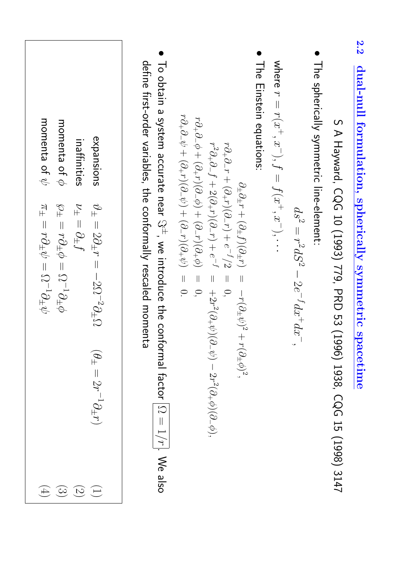| momenta of $\psi$<br>momenta of $\phi$<br>expansions<br>inaffinities                                                                                                                                                                                         |                                                                                                                                                         | $r\partial_+\partial_-\phi+( \partial_+ r) (\partial_-\phi)+( \partial_- r) (\partial_+\phi)$                                                                                                                                                                                                                                                                                                                                                                                                                                           | The Einstein equations:<br>where $r = r(x^+, x^-), f = f(x^+, x^-), \dots$ | The spherically symmetric line-element: | 2.2                                                                                                                              |
|--------------------------------------------------------------------------------------------------------------------------------------------------------------------------------------------------------------------------------------------------------------|---------------------------------------------------------------------------------------------------------------------------------------------------------|-----------------------------------------------------------------------------------------------------------------------------------------------------------------------------------------------------------------------------------------------------------------------------------------------------------------------------------------------------------------------------------------------------------------------------------------------------------------------------------------------------------------------------------------|----------------------------------------------------------------------------|-----------------------------------------|----------------------------------------------------------------------------------------------------------------------------------|
| $\pi_{\pm} = r \partial_{\pm} \psi = \Omega^{-1} \partial_{\pm} \psi$<br>$\nu_{\pm} = \partial_{\pm} f$<br>$\phi_{\pm}\phi_{\pm}\phi_{\pm}\phi_{\pm}\phi_{\pm}\phi_{\pm}\phi_{\pm}$<br>$\theta_{\pm} = 2\partial_{\pm}r = -2\Omega^{-2}\partial_{\pm}\Omega$ | define first-order variables, the conformally rescaled momenta<br>To obtain a system accurate near $\Im^+$ , we introduce the conformal factor $\Omega$ | $r\partial_+\partial_-\psi+( \partial_+ r)(\partial_-\psi)+( \partial_- r)(\partial_+\psi) = 0.$<br>$r^2\partial_+\partial_-f+2(\partial_+r)(\partial_-r)+e^{-f}$<br>$r\partial_+\partial_-r+( \partial_+r)(\partial_-r)+e^{-f}/2$<br>$\partial_{\pm}\partial_{\pm}r+(\partial_{\pm}f)(\partial_{\pm}r)$<br>$= 0,$<br>$\hspace{.2cm} = \hspace{.2cm} + 2r^2(\partial_+\psi)(\partial_-\psi) - 2r^2(\partial_+\phi)(\partial_-\phi),$<br>$\vert\vert$<br>$\vert\vert$<br>$\mathbf{C}$<br>$-r(\partial_\pm\psi)^2+r(\partial_\pm\phi)^2.$ |                                                                            | $ds^2 = r^2 dS^2 - 2e^{-f} dx^+ dx^-$ , | dual-null formulation, spherically symmetric spacetime<br>S A Hayward, CQG 10 (1993) 779, PRD 53 (1996) 1938, CQG 15 (1998) 3147 |
| $(\theta_\pm=2r^{-1}\partial_\pm r)$<br>$\tag{4}$<br>$\begin{pmatrix} 1 \\ 2 \end{pmatrix}$                                                                                                                                                                  | $=1/r$ . We also                                                                                                                                        |                                                                                                                                                                                                                                                                                                                                                                                                                                                                                                                                         |                                                                            |                                         |                                                                                                                                  |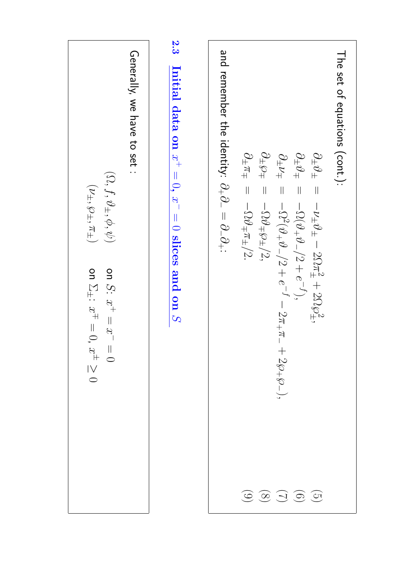The set of equations (cont.):  
\n
$$
\frac{\partial_+ \vartheta_{\pm}}{\partial_+ \vartheta_{\pm}} = -\nu_{\pm} \vartheta_{\pm} - 2\Omega \pi_{\pm}^2 + 2\Omega \varphi_{\pm}^2,
$$
\n
$$
\frac{\partial_+ \vartheta_{\pm}}{\partial_+ \vartheta_{\pm}} = -\Omega^2 (\vartheta_{\pm} \vartheta_{-}/2 + e^{-f}) ,
$$
\nand remember the identity:  $\partial_+ \partial_- = \partial_- \partial_{\mp} \pi_{\pm}/2$ .  
\nand remember the identity:  $\partial_+ \partial_- = \partial_- \partial_{\pm} \pi_{\pm}/2$ .  
\n
$$
\frac{\partial_+ \vartheta_{\pm}}{\partial_{\pm} \vartheta_{\mp}} = -\Omega \vartheta_{\mp} \pi_{\pm}/2,
$$
\n
$$
\frac{\partial_+ \vartheta_{\mp}}{\partial_+ \vartheta_{\pm}} = -\Omega \vartheta_{\mp} \pi_{\pm}/2, \qquad \text{(8)}
$$
\n
$$
\frac{\partial_+ \vartheta_{\pm}}{\partial_+ \vartheta_{\pm}} = 0 \text{ since and on } \underline{S}
$$
\n
$$
\frac{\partial_+ \vartheta_{\pm}}{\partial_+ \vartheta_{\pm}} = \vartheta_{\pm} \text{ since } \frac{\vartheta_{\pm}}{\partial_+ \vartheta_{\pm}} = \vartheta_{\pm} = 0
$$
\n
$$
\frac{\partial_+ \vartheta_{\pm}}{\partial_+ \vartheta_{\pm}} = \vartheta_{\pm} = 0
$$
\n
$$
\frac{\partial_+ \vartheta_{\pm}}{\partial_+ \vartheta_{\pm}} = \vartheta_{\pm} = 0
$$

**Generally, we have to set** :  
\n
$$
(\Omega, f, \vartheta_{\pm}, \phi, \psi) \qquad \text{on } S: x^+ = x^- = 0
$$
\n
$$
(\Omega, f, \vartheta_{\pm}, \phi, \psi) \qquad \text{on } S: x^+ = x^- = 0, x^{\pm} \ge 0
$$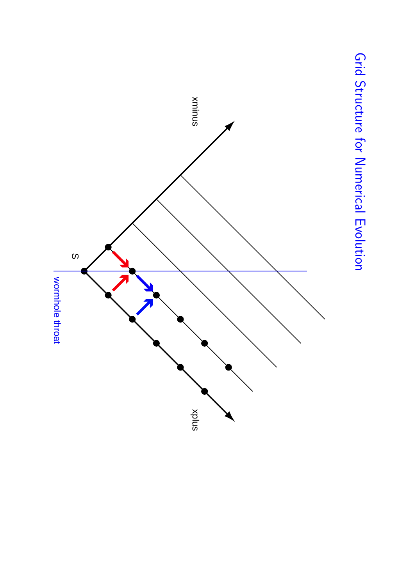

<u>יבה</u><br>פווס Structure for NumericalEvolution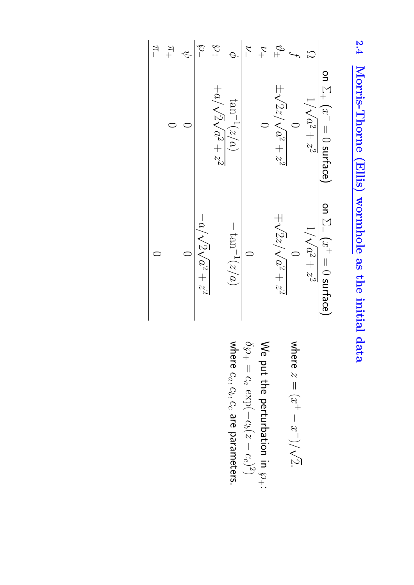ب<br>4.4 **Morris-Thorne (Ellis)wormhole as the initial data**

| $\overline{r}$ | $\begin{array}{c}\n\pi + \\ \end{array}$ | $\zeta$ | $\wp_-$                     | $\wp_+$                     |                   | $\overline{\mathcal{L}}$ | $\mathcal{L}_{+}$ | $\vartheta_\pm$                |       |                      |                                     |
|----------------|------------------------------------------|---------|-----------------------------|-----------------------------|-------------------|--------------------------|-------------------|--------------------------------|-------|----------------------|-------------------------------------|
|                |                                          |         |                             | $+a/\sqrt{2\sqrt{a^2+z^2}}$ | $\tan^{-1}(z/a)$  |                          |                   | $\pm \sqrt{2z}/\sqrt{a^2+z^2}$ |       | $1/\sqrt{a^2 + z^2}$ | on $\Sigma_+$ ( $x^- = 0$ surface)  |
|                |                                          |         | $-a/\sqrt{2}\sqrt{a^2+z^2}$ |                             | $-\tan^{-1}(z/a)$ |                          |                   | $\mp\sqrt{2z}/\sqrt{a^2+z^2}$  |       | $1/\sqrt{a^2+z^2}$   | on $\Sigma_{-}$ $(x^{+}=0$ surface) |
|                |                                          |         |                             |                             | where             | $\delta \varphi_+ =$     | We pr             |                                | where |                      |                                     |

$$
\text{here } z = (x^+ - x^-)/\sqrt{2}.
$$

put the perturbation $\equiv$ ℘+:  $\overline{\phantom{a}}$  $c_{a}$ exp( $c_b(z)$ −  $c_c)^2)$  $c_a, c_b, c_c$ are parameters.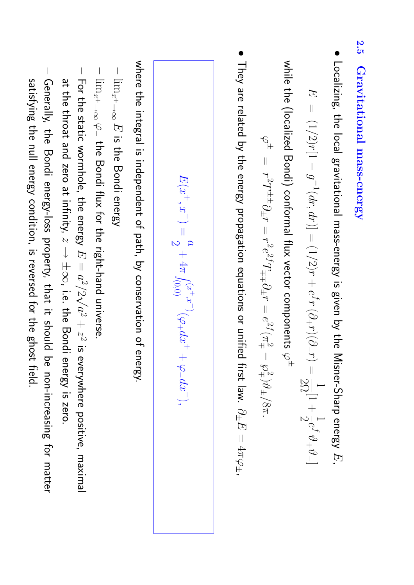#### **2.5 Gravitational**Gravitational mass-energy **mass-energy**

• Localizing, the local gravitationalmass-energy is given by the Misner-Sharp energy  $E_{\cdot}$ 

$$
E = (1/2)r[1 - g^{-1}(dr, dr)] = (1/2)r + e^fr(\partial_r r)(\partial_r r) = \frac{1}{2\Omega}[1 + \frac{1}{2}e^f\,\vartheta_+\vartheta_-]
$$

while the (localized Bondi) conformal flux vector components ϕ±

$$
\varphi^\pm ~=~ r^2 T^{\pm\pm} \partial_\pm r = r^2 e^{2f} T_{\mp\mp} \partial_\pm r = e^{2f} (\pi_\mp^2 - \wp_\mp^2) \vartheta_\pm / 8\pi.
$$

• They are related by the energy propagation equations or unified first law. ∂± $\bm{\varDelta}$  $=4\pi\varphi$ ±,

$$
E(x^+,x^-) = \frac{a}{2} + 4\pi \int_{(0,0)}^{(x^+,x^-)} (\varphi_+ dx^+ + \varphi_- dx^-),
$$

where the integral is independent of path, by conservationof energy.

- **–**  $\lim_{x^+}$ →∞  $E$ is the Bondi energy
- **–**  $\lim_{x^+}$ →∞ ϕ− the Bondi flux for the right-hand universe.
- **–** TO<br>S the static wormhole, the energy  $E$  $\overline{\phantom{a}}$  $a^2/$  $\mathcal C$ √ $\mathcal{C}^2$  $\, + \,$  $\stackrel{\sim}{\sim}$ is everywhere positive, maximal at the throat and zero at infinity,  $\overline{\mathcal{N}}$ → ±∞, i.e. the Bondi energy is zero.
- **–** satisfying the null energy condition, is reversed for the ghost field. Generally, the Bondi energy-loss property,that <u>ី÷</u> shoulda<br>B non-increasingfor matter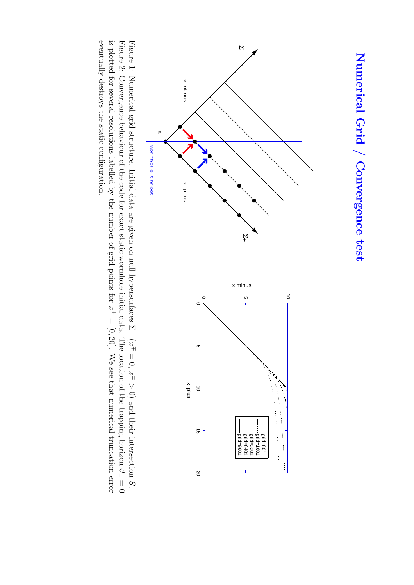**Numerical Grid / Convergence test**



Figure 1: Numerical grid structure. Initial data are given on null hypersurfaces $\Sigma_{\pm}$ (x∓  $= 0,$  $\vec{x}_\pm$  $\vee$ 0) and their intersection S. Figure 2: Convergencebehaviour of the code for exact static wormhole initial data. The location of the trapping horizon ϑ−  $\overline 0$ is plotted for several resolutions labelled by the number of grid points for  $\vec{x}_+$  $=[0, 20]$ . We see that numericaltruncation error eventually destroys the static configuration.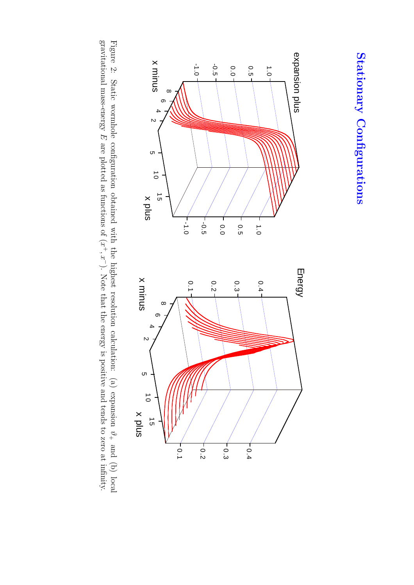



Figure 2: Static wormholeconfigurationobtained with the highest resolutioncalculation: (a) expansion  $\frac{\partial}{\partial t} +$ and (b) local gravitationalmass-energy E are plotted as functionsof  $(x^+, x)$ ). Note that the energy is positive and tends to zero at infinity.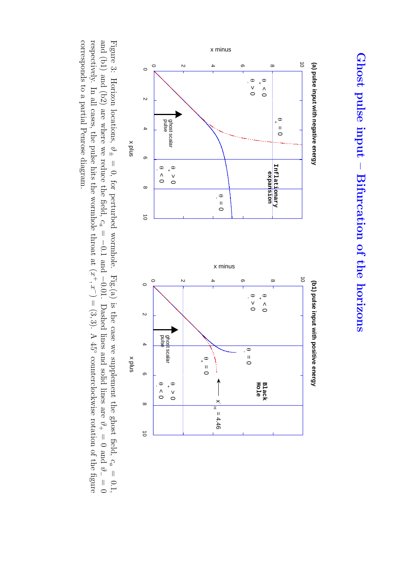

Figure 3: Horizon locations, ϑ ±  $= 0,$ for perturbed wormhole. Fig.(a) is the case we supplement the ghost field, c*a* = 0.1, and (b1) and (b2) are where we reduce the field, c*a*  $\overline{\phantom{a}}$ − 0.1 and − 0.01. Dashed lines and solid lines are  $\phi_+$  $\frac{\mathbb{I}}{\mathbb{O}}$ and ϑ −  $\frac{\mathbb{I}}{\mathbb{O}}$ respectively. In all cases, the pulse hits the wormholethroat at  $(x^+, x)$  $) = (3, 3).$  A 45° counterclockwiserotation of the figure correspondsto a partial Penrose diagram.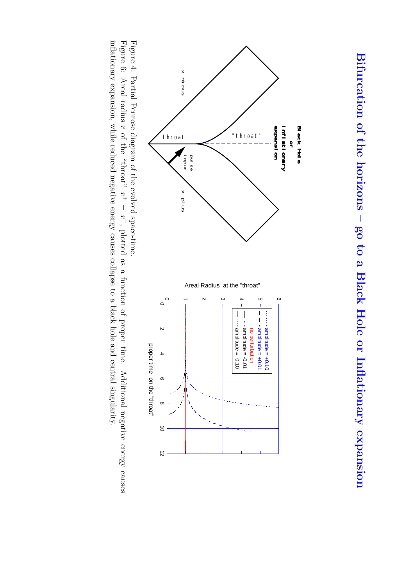

Figure 4: Partial Penrose diagram of the evolved space-time.

Figure 6: Areal radius r apsorthe "throat"  $\vec{x}_+$  $\overline{\phantom{a}}$  $\approx$ , plotted as a function of proper time.Additional negative energy causes inflationaryexpansion, while reduced negative energy causes collapse to a black hole and central singularity.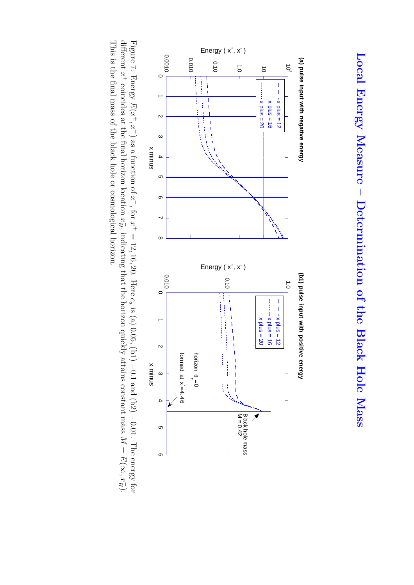

Figure 7: Energy  $E(x^+,x)$ ) as a function of  $\widetilde{\tau}$ , for  $\vec{x}_+$ = 12, 16, 20. Here c*a* is (a) 0.05, (b1) − 0.1 and (b2) − 0.01. The energy for different  $\vec{x}_+$ coincides at the final horizon location  $x_H$ , indicating that the horizon quickly attains constant mass M  $\overline{\phantom{a}}$  $E(\infty, x_H^-$ ). This is the final mass of the black hole or cosmologicalhorizon.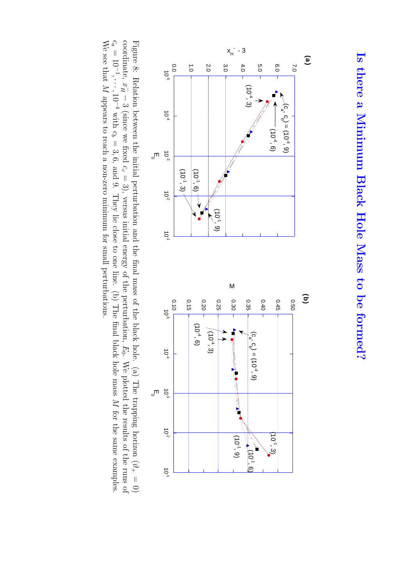

Figure 8: Relation between the initial perturbation and the final mass of the black hole.(a) The trapping horizon  $(9<sup>+</sup>)$  $\overline{0}$ coordinate, x *H* − − ు (since we fixed  $c_c$  $\overline{\phantom{a}}$ 3), versus initial energy of the perturbation,  $E_0$ . We plotted the results of the runs of c*a* =<br>10 1, ··· , 10 4 with c*b*  $=$   $3, 6,$ and 9. They lie close to one line. (b) The final black hole mass  $\gtrsim$ for the same examples. We see that M appears to reach a non-zerominimum for small perturbations.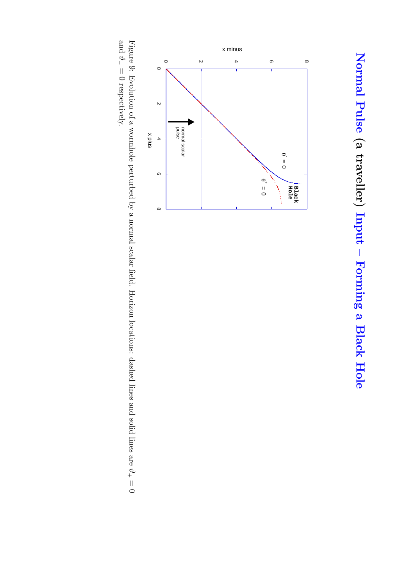

Figure 9: Evolution of a wormhole perturbed by a normal scalar field. Horizon locations: dashed lines and solid lines are  $\frac{3}{4}$  $\frac{\mathbb{I}}{\mathbb{O}}$ and ϑ−  $\overline 0$ respectively.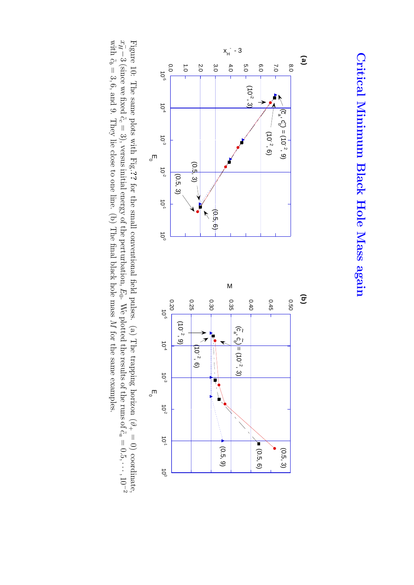

Figure 10: The same plots with Fig.**??** for the small conventionalfield pulses. (a) The trapping horizon  $(\vartheta_+$ = 0) c oordinate, x *H* − ا<br>ث (since we fixed  $\tilde{c}_c =$ 3), versus initial energy of the perturbation,  $E_0$ . We plotted the results of the runs of  $\tilde{c}_a$  $= 0.5, \cdots, 10$ with ˜c*b*  $= 3, 6,$  and 9. They lie close to one line. (b) The final black hole mass  $\gtrsim$ for the same examples.

r.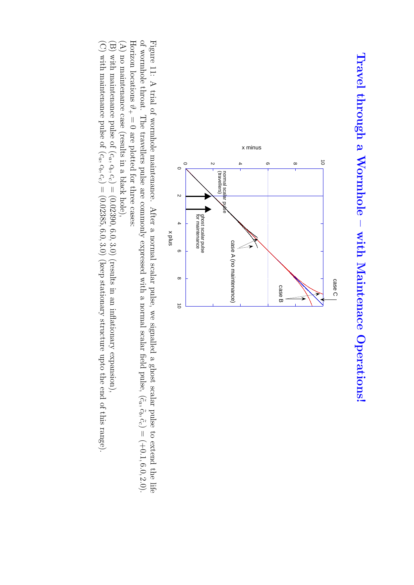## **Travel through a Wormhole – with MaintenaceOperations!**



of wormhole throat. The travellerspulse are commonly expressed with a normal scalar field pulse,  $(\tilde{c}_a, \tilde{c}_b, \tilde{c}_c)$  = Figure 11: A trial of wormholemaintenance. After a normal scalar pulse, we signalled a ghost scalar pulse to extend the life  $(+0.1, 6.0, 2.0).$ Horizon locations  $\frac{3}{4}$  $\overline 0$ are plotted for three cases:

(A) no maintenancecase (results in a black hole),

(B) with maintenancepulse of  $(c_a, c_b, c_c) = (0.02390, 6.0, 3.0)$  (results in an inflationaryexpansion),

(C) with maintenancepulse of  $(c_a, c_b, c_c) = (0.02385, 6.0, 3.0)$  (keep stationary structureupto the end of this range).